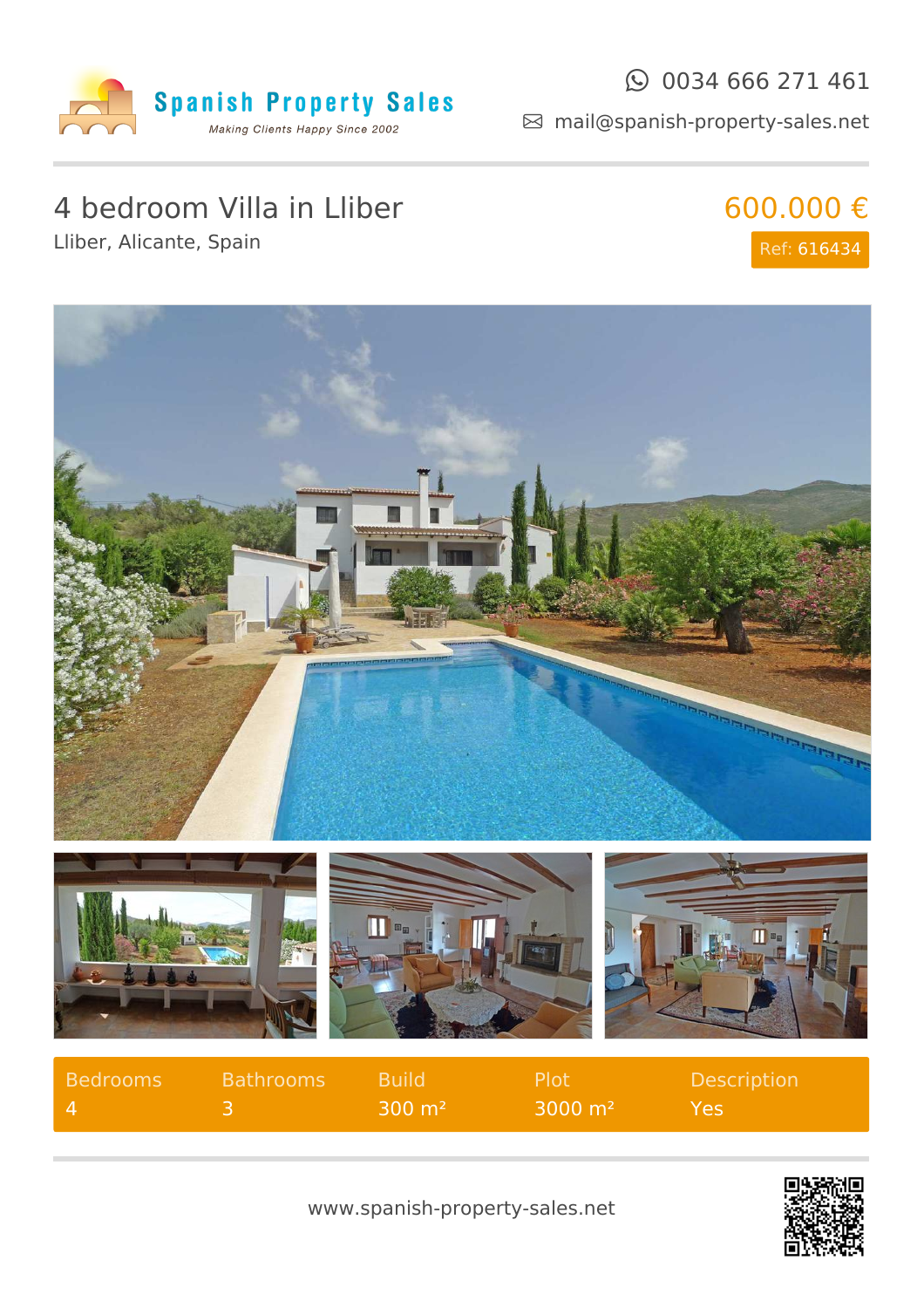

### $\odot$  0034 666 271 461

mail@spanish-property-sales.net

## 4 bedroom Villa in Lliber

Lliber, Alicante, Spain





| Bedrooms | <b>Bathrooms</b> | <b>Build</b>        | <b>Plot</b>        | <b>Description</b> |
|----------|------------------|---------------------|--------------------|--------------------|
|          |                  | $300 \; \text{m}^2$ | $3000 \text{ m}^2$ | <b>YAS</b>         |

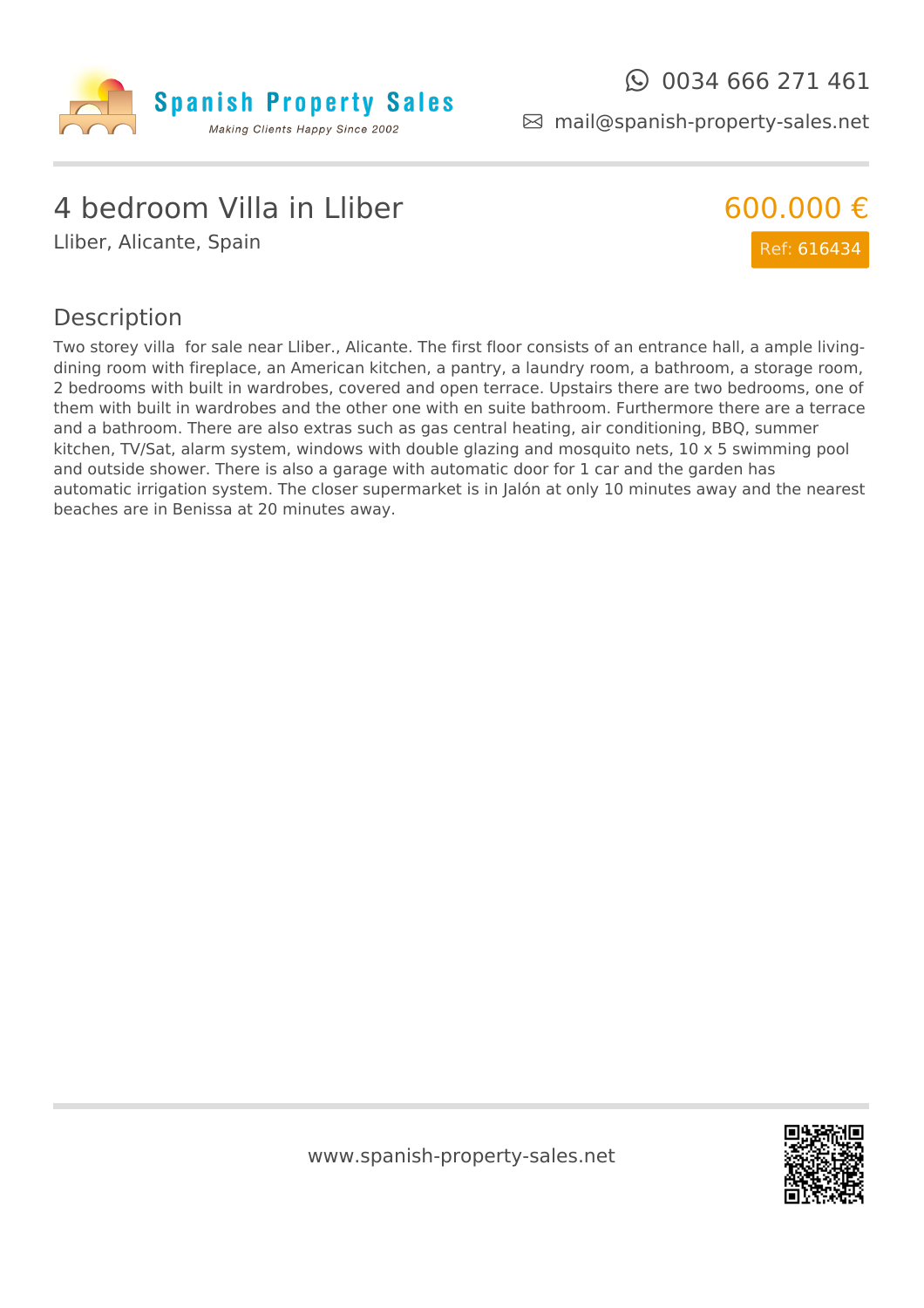

mail@spanish-property-sales.net

### 4 bedroom Villa in Lliber

Lliber, Alicante, Spain



#### Description

Two storey villa for sale near Lliber., Alicante. The first floor consists of an entrance hall, a ample livingdining room with fireplace, an American kitchen, a pantry, a laundry room, a bathroom, a storage room, 2 bedrooms with built in wardrobes, covered and open terrace. Upstairs there are two bedrooms, one of them with built in wardrobes and the other one with en suite bathroom. Furthermore there are a terrace and a bathroom. There are also extras such as gas central heating, air conditioning, BBQ, summer kitchen, TV/Sat, alarm system, windows with double glazing and mosquito nets, 10 x 5 swimming pool and outside shower. There is also a garage with automatic door for 1 car and the garden has automatic irrigation system. The closer supermarket is in Jalón at only 10 minutes away and the nearest beaches are in Benissa at 20 minutes away.